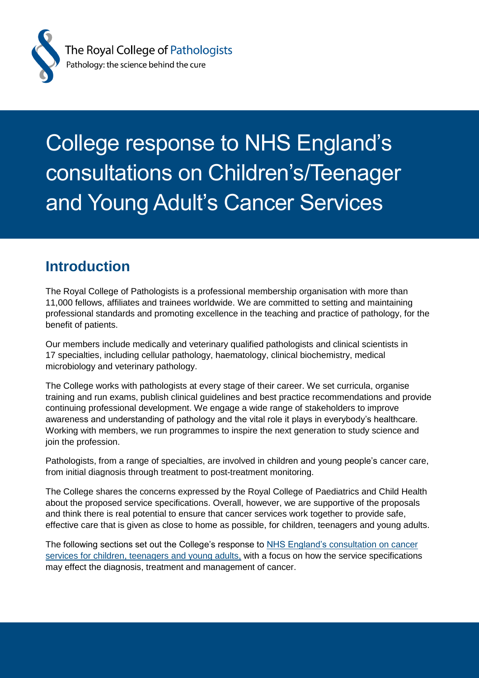

# College response to NHS England's consultations on Children's/Teenager and Young Adult's Cancer Services

#### **Introduction**

The Royal College of Pathologists is a professional membership organisation with more than 11,000 fellows, affiliates and trainees worldwide. We are committed to setting and maintaining professional standards and promoting excellence in the teaching and practice of pathology, for the benefit of patients.

Our members include medically and veterinary qualified pathologists and clinical scientists in 17 specialties, including cellular pathology, haematology, clinical biochemistry, medical microbiology and veterinary pathology.

The College works with pathologists at every stage of their career. We set curricula, organise training and run exams, publish clinical guidelines and best practice recommendations and provide continuing professional development. We engage a wide range of stakeholders to improve awareness and understanding of pathology and the vital role it plays in everybody's healthcare. Working with members, we run programmes to inspire the next generation to study science and join the profession.

Pathologists, from a range of specialties, are involved in children and young people's cancer care, from initial diagnosis through treatment to post-treatment monitoring.

The College shares the concerns expressed by the Royal College of Paediatrics and Child Health about the proposed service specifications. Overall, however, we are supportive of the proposals and think there is real potential to ensure that cancer services work together to provide safe, effective care that is given as close to home as possible, for children, teenagers and young adults.

The following sections set out the College's response to [NHS England's](https://www.engage.england.nhs.uk/consultation/teenager-and-young-adults-cancer-services/) consultation on cancer [services for children, teenagers and young adults,](https://www.engage.england.nhs.uk/consultation/teenager-and-young-adults-cancer-services/) with a focus on how the service specifications may effect the diagnosis, treatment and management of cancer.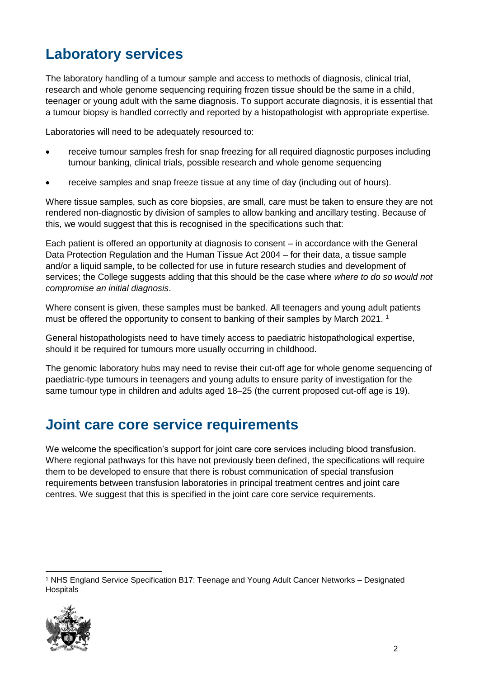# **Laboratory services**

The laboratory handling of a tumour sample and access to methods of diagnosis, clinical trial, research and whole genome sequencing requiring frozen tissue should be the same in a child, teenager or young adult with the same diagnosis. To support accurate diagnosis, it is essential that a tumour biopsy is handled correctly and reported by a histopathologist with appropriate expertise.

Laboratories will need to be adequately resourced to:

- receive tumour samples fresh for snap freezing for all required diagnostic purposes including tumour banking, clinical trials, possible research and whole genome sequencing
- receive samples and snap freeze tissue at any time of day (including out of hours).

Where tissue samples, such as core biopsies, are small, care must be taken to ensure they are not rendered non-diagnostic by division of samples to allow banking and ancillary testing. Because of this, we would suggest that this is recognised in the specifications such that:

Each patient is offered an opportunity at diagnosis to consent – in accordance with the General Data Protection Regulation and the Human Tissue Act 2004 – for their data, a tissue sample and/or a liquid sample, to be collected for use in future research studies and development of services; the College suggests adding that this should be the case where *where to do so would not compromise an initial diagnosis*.

Where consent is given, these samples must be banked. All teenagers and young adult patients must be offered the opportunity to consent to banking of their samples by March 2021. 1

General histopathologists need to have timely access to paediatric histopathological expertise, should it be required for tumours more usually occurring in childhood.

The genomic laboratory hubs may need to revise their cut-off age for whole genome sequencing of paediatric-type tumours in teenagers and young adults to ensure parity of investigation for the same tumour type in children and adults aged 18–25 (the current proposed cut-off age is 19).

#### **Joint care core service requirements**

We welcome the specification's support for joint care core services including blood transfusion. Where regional pathways for this have not previously been defined, the specifications will require them to be developed to ensure that there is robust communication of special transfusion requirements between transfusion laboratories in principal treatment centres and joint care centres. We suggest that this is specified in the joint care core service requirements.

 $\overline{a}$ <sup>1</sup> NHS England Service Specification B17: Teenage and Young Adult Cancer Networks – Designated **Hospitals** 

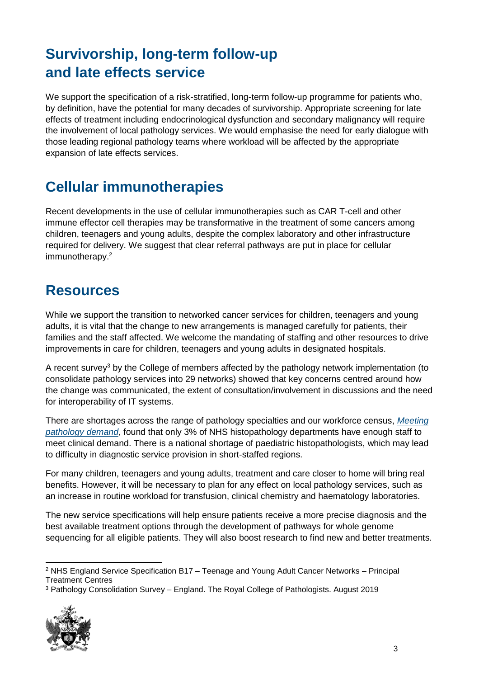# **Survivorship, long-term follow-up and late effects service**

We support the specification of a risk-stratified, long-term follow-up programme for patients who, by definition, have the potential for many decades of survivorship. Appropriate screening for late effects of treatment including endocrinological dysfunction and secondary malignancy will require the involvement of local pathology services. We would emphasise the need for early dialogue with those leading regional pathology teams where workload will be affected by the appropriate expansion of late effects services.

# **Cellular immunotherapies**

Recent developments in the use of cellular immunotherapies such as CAR T-cell and other immune effector cell therapies may be transformative in the treatment of some cancers among children, teenagers and young adults, despite the complex laboratory and other infrastructure required for delivery. We suggest that clear referral pathways are put in place for cellular immunotherapy.<sup>2</sup>

#### **Resources**

While we support the transition to networked cancer services for children, teenagers and young adults, it is vital that the change to new arrangements is managed carefully for patients, their families and the staff affected. We welcome the mandating of staffing and other resources to drive improvements in care for children, teenagers and young adults in designated hospitals.

A recent survey<sup>3</sup> by the College of members affected by the pathology network implementation (to consolidate pathology services into 29 networks) showed that key concerns centred around how the change was communicated, the extent of consultation/involvement in discussions and the need for interoperability of IT systems.

There are shortages across the range of pathology specialties and our workforce census, *[Meeting](https://www.rcpath.org/uploads/assets/952a934d-2ec3-48c9-a8e6e00fcdca700f/meeting-pathology-demand-histopathology-workforce-census-2018.pdf)  [pathology demand](https://www.rcpath.org/uploads/assets/952a934d-2ec3-48c9-a8e6e00fcdca700f/meeting-pathology-demand-histopathology-workforce-census-2018.pdf)*, found that only 3% of NHS histopathology departments have enough staff to meet clinical demand. There is a national shortage of paediatric histopathologists, which may lead to difficulty in diagnostic service provision in short-staffed regions.

For many children, teenagers and young adults, treatment and care closer to home will bring real benefits. However, it will be necessary to plan for any effect on local pathology services, such as an increase in routine workload for transfusion, clinical chemistry and haematology laboratories.

The new service specifications will help ensure patients receive a more precise diagnosis and the best available treatment options through the development of pathways for whole genome sequencing for all eligible patients. They will also boost research to find new and better treatments.

<sup>3</sup> Pathology Consolidation Survey – England. The Royal College of Pathologists. August 2019



  $2$  NHS England Service Specification B17 – Teenage and Young Adult Cancer Networks – Principal Treatment Centres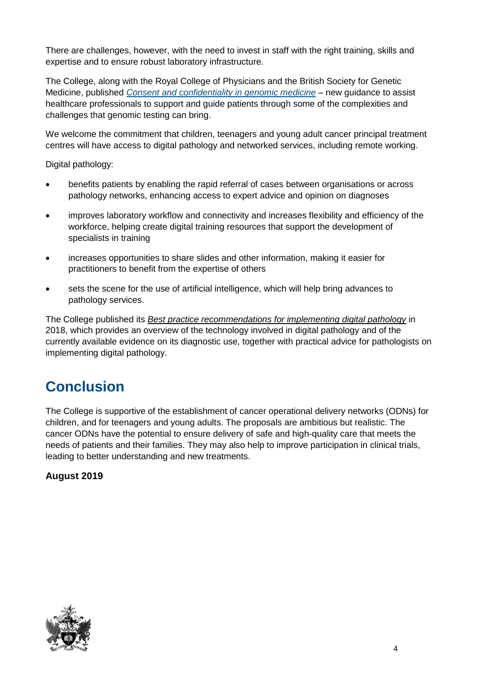There are challenges, however, with the need to invest in staff with the right training, skills and expertise and to ensure robust laboratory infrastructure.

The College, along with the Royal College of Physicians and the British Society for Genetic Medicine, published *[Consent and confidentiality in genomic medicine](https://www.rcpath.org/uploads/assets/d3956d4a-319e-47ca-8ece8a122949e701/consent-and-confidentiality-in-genomic-medicine-july-2019.pdf)* – new guidance to assist healthcare professionals to support and guide patients through some of the complexities and challenges that genomic testing can bring.

We welcome the commitment that children, teenagers and young adult cancer principal treatment centres will have access to digital pathology and networked services, including remote working.

Digital pathology:

- benefits patients by enabling the rapid referral of cases between organisations or across pathology networks, enhancing access to expert advice and opinion on diagnoses
- improves laboratory workflow and connectivity and increases flexibility and efficiency of the workforce, helping create digital training resources that support the development of specialists in training
- increases opportunities to share slides and other information, making it easier for practitioners to benefit from the expertise of others
- sets the scene for the use of artificial intelligence, which will help bring advances to pathology services.

The College published its *[Best practice recommendations for implementing](https://www.rcpath.org/uploads/assets/f465d1b3-797b-4297-b7fedc00b4d77e51/best-practice-recommendations-for-implementing-digital-pathology.pdf) digital pathology* in 2018, which provides an overview of the technology involved in digital pathology and of the currently available evidence on its diagnostic use, together with practical advice for pathologists on implementing digital pathology.

### **Conclusion**

The College is supportive of the establishment of cancer operational delivery networks (ODNs) for children, and for teenagers and young adults. The proposals are ambitious but realistic. The cancer ODNs have the potential to ensure delivery of safe and high-quality care that meets the needs of patients and their families. They may also help to improve participation in clinical trials, leading to better understanding and new treatments.

#### **August 2019**